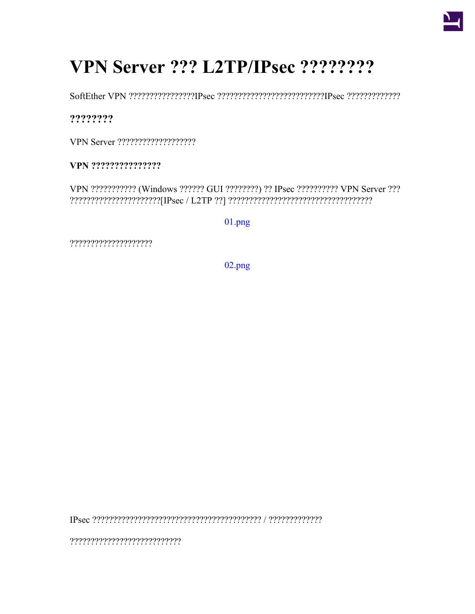

# VPN Server ??? L2TP/IPsec ????????

SoftEther VPN ?????????????????IPsec ???????????????????????????IPsec ??????????????????????????????

????????

VPN Server ????????????????????

VPN ????????????????

VPN ??????????? (Windows ?????? GUI ????????) ?? IPsec ?????????? VPN Server ??? 

 $01.png$ 

?????????????????????

 $02.png$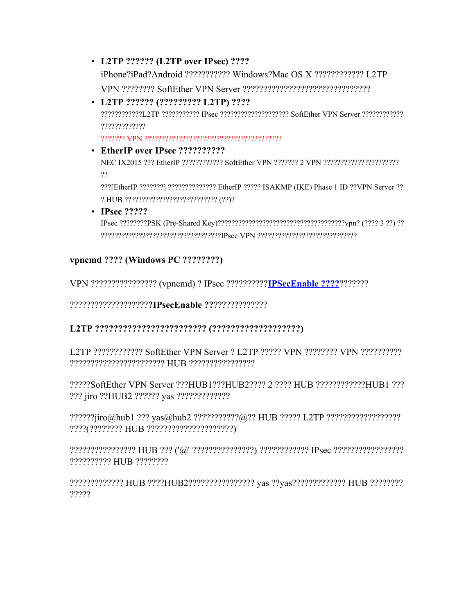- **L2TP ?????? (L2TP over IPsec) ????** iPhone?iPad?Android ??????????? Windows?Mac OS X ???????????? L2TP VPN ???????? SoftEther VPN Server ???????????????????????????????
- **L2TP ?????? (????????? L2TP) ????** ????????????L2TP ??????????? IPsec ???????????????????? SoftEther VPN Server ???????????? ????????????? ??????? VPN ????????????????????????????????????????
- **EtherIP over IPsec ??????????** NEC IX2015 ??? EtherIP ???????????? SoftEther VPN ??????? 2 VPN ?????????????????????? ??

???[EtherIP ???????] ?????????????? EtherIP ????? ISAKMP (IKE) Phase 1 ID ??VPN Server ?? ? HUB ??????????????????????????? (??)?

• **IPsec ?????**

IPsec ????????PSK (Pre-Shared Key)?????????????????????????????????????vpn? (???? 3 ??) ?? ???????????????????????????????????IPsec VPN ?????????????????????????????

## **vpncmd ???? (Windows PC ????????)**

VPN ???????????????? (vpncmd) ? IPsec ??????????**[IPSecEnable ????](https://ja.softether.org/4-docs/1-manual/6/6.3#6.3.69_.22IPsecEnable.22:_IPsec_VPN_.E3.82.B5.E3.83.BC.E3.83.90.E3.83.BC.E6.A9.9F.E8.83.BD.E3.81.AE.E6.9C.89.E5.8A.B9.E5.8C.96_.2F_.E7.84.A1.E5.8A.B9.E5.8C.96)**???????

???????????????????**?IPsecEnable ??**?????????????

## **L2TP ???????????????????????? (???????????????????)**

L2TP ???????????? SoftEther VPN Server ? L2TP ????? VPN ???????? VPN ?????????? ??????????????????????? HUB ????????????????

?????SoftEther VPN Server ???HUB1???HUB2???? 2 ???? HUB ????????????HUB1 ??? ??? jiro ??HUB2 ?????? yas ?????????????

??????jiro@hub1 ??? yas@hub2 ???????????@?? HUB ????? L2TP ?????????????????? ????(???????? HUB ?????????????????????)

???????????????? HUB ??? ('@' ???????????????) ???????????? IPsec ????????????????? ?????????? HUB ????????

????????????? HUB ????HUB2???????????????? yas ??yas????????????? HUB ???????? ?????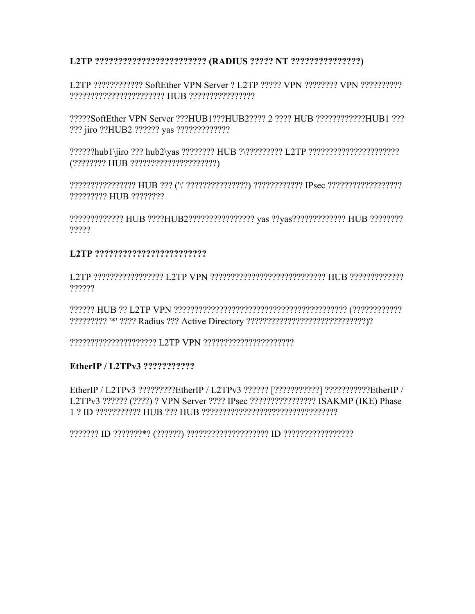#### L2TP ?????????????????????????? (RADIUS ????? NT ????????????????)

L2TP ????????????? SoftEther VPN Server ? L2TP ????? VPN ???????? VPN ??????????? 

?????SoftEther VPN Server ???HUB1???HUB2???? 2 ???? HUB ????????????HUB1 ??? ??? jiro ??HUB2 ?????? vas ??????????????

????????????????? HUB ??? ("\' ????????????????) ???????????? IPsec ???????????????????????????????? ????????? HUB ????????

?????????????? HUB ????HUB2???????????????? vas ??vas????????????? HUB ????????? ?????

#### 

L2TP 222222222222222 L2TP VPN 222222222222222222222223 HUB 222222222222 ?????

#### EtherIP / L2TPv3 ???????????

EtherIP / L2TPv3 ?????????EtherIP / L2TPv3 ?????? [??????????] ???????????EtherIP / L2TPv3 ?????? (????) ? VPN Server ???? IPsec ????????????????? ISAKMP (IKE) Phase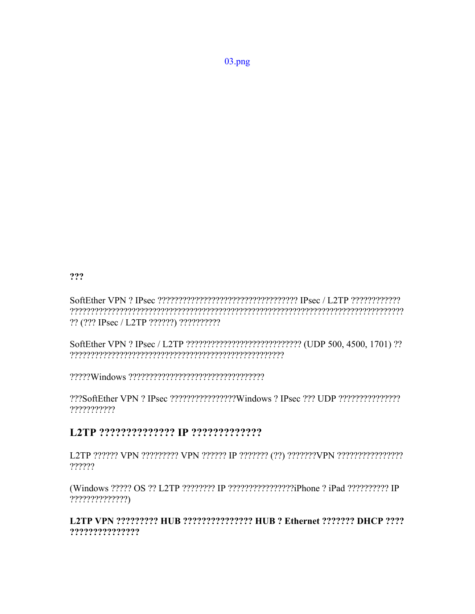???

?? (??? IPsec / L2TP ??????) ??????????

SoftEther VPN ? IPsec / L2TP ????????????????????????????????? (UDP 500, 4500, 1701) ?? 

???SoftEther VPN ? IPsec ?????????????????Windows ? IPsec ??? UDP ??????????????? ???????????

## 

L2TP ?????? VPN ????????? VPN ?????? IP ??????? (??) ???????VPN ????????????????? ?????

(Windows ????? OS ?? L2TP ???????? IP ????????????????iPhone ? iPad ?????????? IP  $???????????????)$ 

### L2TP VPN ????????? HUB ??????????????? HUB ? Ethernet ??????? DHCP ???? ???????????????